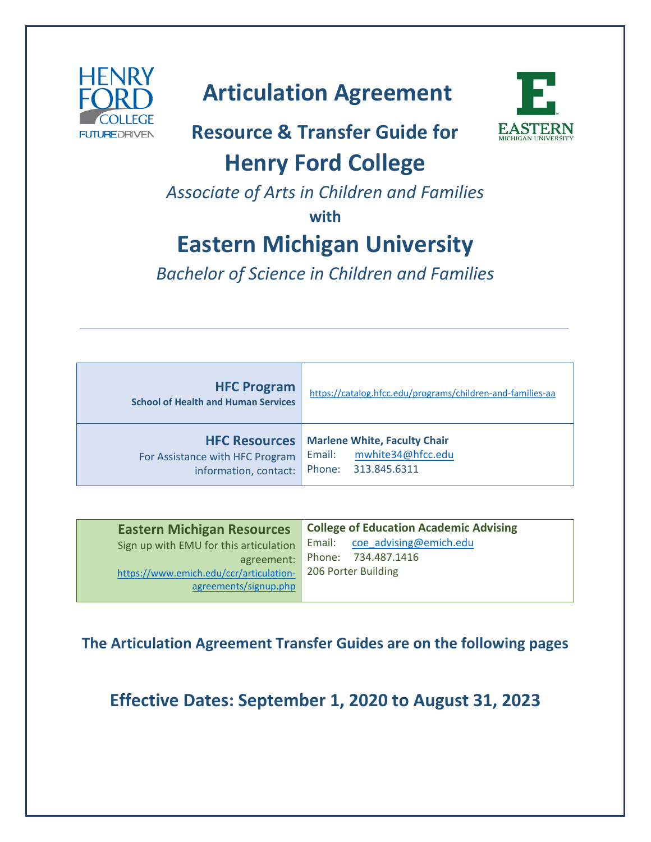

# **Articulation Agreement**

# **Resource & Transfer Guide for**



# **Henry Ford College**

*Associate of Arts in Children and Families*

**with**

# **Eastern Michigan University**

*Bachelor of Science in Children and Families*

| <b>HFC Program</b><br><b>School of Health and Human Services</b>                 | https://catalog.hfcc.edu/programs/children-and-families-aa                                |
|----------------------------------------------------------------------------------|-------------------------------------------------------------------------------------------|
| <b>HFC Resources</b><br>For Assistance with HFC Program<br>information, contact: | <b>Marlene White, Faculty Chair</b><br>mwhite34@hfcc.edu<br>Email:<br>Phone: 313.845.6311 |

| <b>Eastern Michigan Resources</b>       | <b>College of Education Academic Advising</b> |
|-----------------------------------------|-----------------------------------------------|
| Sign up with EMU for this articulation  | Email: coe_advising@emich.edu                 |
| agreement:                              | Phone: 734.487.1416                           |
| https://www.emich.edu/ccr/articulation- | 206 Porter Building                           |
| agreements/signup.php                   |                                               |
|                                         |                                               |

**The Articulation Agreement Transfer Guides are on the following pages**

**Effective Dates: September 1, 2020 to August 31, 2023**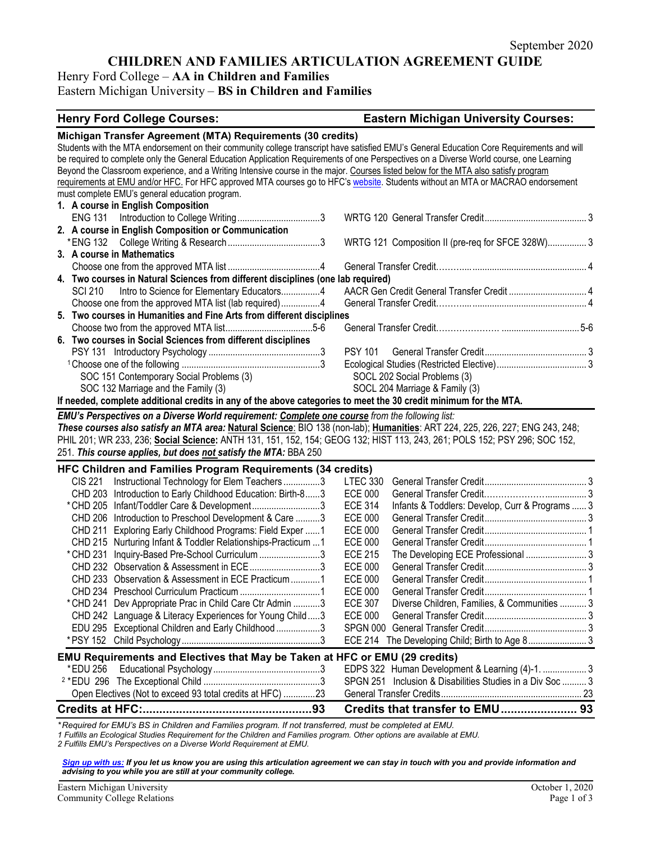## **CHILDREN AND FAMILIES ARTICULATION AGREEMENT GUIDE**

## Henry Ford College – **AA in Children and Families**

### Eastern Michigan University – **BS in Children and Families**

| <b>Henry Ford College Courses:</b>                                                                                                        | <b>Eastern Michigan University Courses:</b>                       |  |  |
|-------------------------------------------------------------------------------------------------------------------------------------------|-------------------------------------------------------------------|--|--|
| Michigan Transfer Agreement (MTA) Requirements (30 credits)                                                                               |                                                                   |  |  |
| Students with the MTA endorsement on their community college transcript have satisfied EMU's General Education Core Requirements and will |                                                                   |  |  |
| be required to complete only the General Education Application Requirements of one Perspectives on a Diverse World course, one Learning   |                                                                   |  |  |
| Beyond the Classroom experience, and a Writing Intensive course in the major. Courses listed below for the MTA also satisfy program       |                                                                   |  |  |
| requirements at EMU and/or HFC. For HFC approved MTA courses go to HFC's website. Students without an MTA or MACRAO endorsement           |                                                                   |  |  |
| must complete EMU's general education program.                                                                                            |                                                                   |  |  |
| 1. A course in English Composition                                                                                                        |                                                                   |  |  |
|                                                                                                                                           |                                                                   |  |  |
| 2. A course in English Composition or Communication                                                                                       |                                                                   |  |  |
|                                                                                                                                           | WRTG 121 Composition II (pre-req for SFCE 328W) 3                 |  |  |
| 3. A course in Mathematics                                                                                                                |                                                                   |  |  |
|                                                                                                                                           |                                                                   |  |  |
| 4. Two courses in Natural Sciences from different disciplines (one lab required)                                                          |                                                                   |  |  |
| Intro to Science for Elementary Educators4<br><b>SCI 210</b>                                                                              | AACR Gen Credit General Transfer Credit  4                        |  |  |
| Choose one from the approved MTA list (lab required)4                                                                                     |                                                                   |  |  |
| 5. Two courses in Humanities and Fine Arts from different disciplines                                                                     |                                                                   |  |  |
|                                                                                                                                           |                                                                   |  |  |
| 6. Two courses in Social Sciences from different disciplines                                                                              |                                                                   |  |  |
|                                                                                                                                           | <b>PSY 101</b>                                                    |  |  |
|                                                                                                                                           |                                                                   |  |  |
| SOC 151 Contemporary Social Problems (3)                                                                                                  | SOCL 202 Social Problems (3)                                      |  |  |
| SOC 132 Marriage and the Family (3)                                                                                                       | SOCL 204 Marriage & Family (3)                                    |  |  |
| If needed, complete additional credits in any of the above categories to meet the 30 credit minimum for the MTA.                          |                                                                   |  |  |
| EMU's Perspectives on a Diverse World requirement: Complete one course from the following list:                                           |                                                                   |  |  |
| These courses also satisfy an MTA area: Natural Science: BIO 138 (non-lab); Humanities: ART 224, 225, 226, 227; ENG 243, 248;             |                                                                   |  |  |
| PHIL 201; WR 233, 236; Social Science: ANTH 131, 151, 152, 154; GEOG 132; HIST 113, 243, 261; POLS 152; PSY 296; SOC 152,                 |                                                                   |  |  |
| 251. This course applies, but does not satisfy the MTA: BBA 250                                                                           |                                                                   |  |  |
| HFC Children and Families Program Requirements (34 credits)                                                                               |                                                                   |  |  |
| Instructional Technology for Elem Teachers3<br>CIS 221                                                                                    | <b>LTEC 330</b>                                                   |  |  |
| CHD 203 Introduction to Early Childhood Education: Birth-83                                                                               | <b>ECE 000</b>                                                    |  |  |
| *CHD 205 Infant/Toddler Care & Development3                                                                                               | Infants & Toddlers: Develop, Curr & Programs  3<br><b>ECE 314</b> |  |  |
| CHD 206 Introduction to Preschool Development & Care 3                                                                                    | <b>ECE 000</b>                                                    |  |  |
| Exploring Early Childhood Programs: Field Exper 1<br>CHD 211                                                                              | <b>ECE 000</b>                                                    |  |  |
| CHD 215 Nurturing Infant & Toddler Relationships-Practicum  1                                                                             | <b>ECE 000</b>                                                    |  |  |
| * CHD 231<br>Inquiry-Based Pre-School Curriculum 3                                                                                        | The Developing ECE Professional  3<br><b>ECE 215</b>              |  |  |
| CHD 232 Observation & Assessment in ECE3                                                                                                  | <b>ECE 000</b>                                                    |  |  |
| CHD 233 Observation & Assessment in ECE Practicum 1                                                                                       | <b>ECE 000</b>                                                    |  |  |
|                                                                                                                                           | <b>ECE 000</b>                                                    |  |  |
| * CHD 241 Dev Appropriate Prac in Child Care Ctr Admin 3                                                                                  | Diverse Children, Families, & Communities  3<br><b>ECE 307</b>    |  |  |
| CHD 242 Language & Literacy Experiences for Young Child3                                                                                  | <b>ECE 000</b>                                                    |  |  |
| EDU 295 Exceptional Children and Early Childhood 3                                                                                        |                                                                   |  |  |
|                                                                                                                                           | ECE 214 The Developing Child; Birth to Age 8 3                    |  |  |
|                                                                                                                                           |                                                                   |  |  |
| EMU Requirements and Electives that May be Taken at HFC or EMU (29 credits)                                                               |                                                                   |  |  |
| *EDU 256                                                                                                                                  | EDPS 322 Human Development & Learning (4)-1.  3                   |  |  |
|                                                                                                                                           | SPGN 251 Inclusion & Disabilities Studies in a Div Soc  3         |  |  |
| Open Electives (Not to exceed 93 total credits at HFC) 23                                                                                 |                                                                   |  |  |
|                                                                                                                                           | Credits that transfer to EMU 93                                   |  |  |

*\* Required for EMU's BS in Children and Families program. If not transferred, must be completed at EMU.* 

*1 Fulfills an Ecological Studies Requirement for the Children and Families program. Other options are available at EMU.*

*2 Fulfills EMU's Perspectives on a Diverse World Requirement at EMU.* 

*[Sign up with us:](https://www.emich.edu/ccr/articulation-agreements/signup.php) If you let us know you are using this articulation agreement we can stay in touch with you and provide information and advising to you while you are still at your community college.*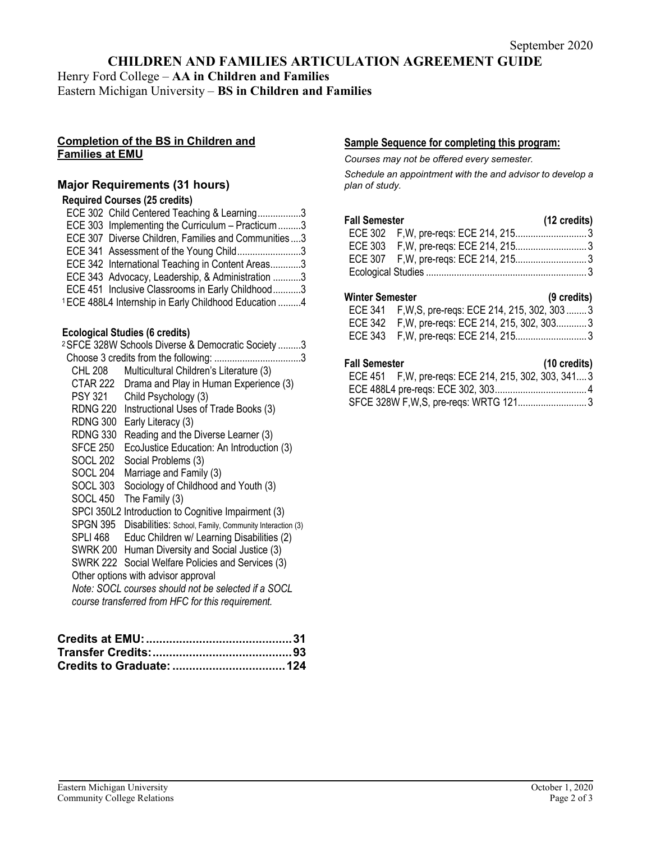## **CHILDREN AND FAMILIES ARTICULATION AGREEMENT GUIDE**

Henry Ford College – **AA in Children and Families** Eastern Michigan University – **BS in Children and Families**

#### **Completion of the BS in Children and Families at EMU**

#### **Major Requirements (31 hours)**

#### **Required Courses (25 credits)**

| ECE 302 Child Centered Teaching & Learning3                      |  |
|------------------------------------------------------------------|--|
| ECE 303 Implementing the Curriculum - Practicum3                 |  |
| ECE 307 Diverse Children, Families and Communities3              |  |
| ECE 341 Assessment of the Young Child3                           |  |
| ECE 342 International Teaching in Content Areas3                 |  |
| ECE 343 Advocacy, Leadership, & Administration 3                 |  |
| ECE 451 Inclusive Classrooms in Early Childhood3                 |  |
| <sup>1</sup> ECE 488L4 Internship in Early Childhood Education 4 |  |

# **Ecological Studies (6 credits)**

| <sup>2</sup> SFCE 328W Schools Diverse & Democratic Society 3       |  |  |
|---------------------------------------------------------------------|--|--|
| Choose 3 credits from the following:<br>. 3                         |  |  |
| Multicultural Children's Literature (3)                             |  |  |
| Drama and Play in Human Experience (3)                              |  |  |
| Child Psychology (3)                                                |  |  |
| RDNG 220<br>Instructional Uses of Trade Books (3)                   |  |  |
| <b>RDNG 300</b><br>Early Literacy (3)                               |  |  |
| Reading and the Diverse Learner (3)                                 |  |  |
| EcoJustice Education: An Introduction (3)                           |  |  |
| Social Problems (3)                                                 |  |  |
| Marriage and Family (3)                                             |  |  |
| Sociology of Childhood and Youth (3)                                |  |  |
| The Family (3)                                                      |  |  |
| SPCI 350L2 Introduction to Cognitive Impairment (3)                 |  |  |
| SPGN 395<br>Disabilities: School, Family, Community Interaction (3) |  |  |
| Educ Children w/ Learning Disabilities (2)                          |  |  |
| SWRK 200<br>Human Diversity and Social Justice (3)                  |  |  |
| SWRK 222 Social Welfare Policies and Services (3)                   |  |  |
| Other options with advisor approval                                 |  |  |
| Note: SOCL courses should not be selected if a SOCL                 |  |  |
| course transferred from HFC for this requirement.                   |  |  |
|                                                                     |  |  |

#### **Sample Sequence for completing this program:**

*Courses may not be offered every semester.* 

*Schedule an appointment with the and advisor to develop a plan of study.*

# **Fall Semester (12 credits)**

#### **Winter Semester (9 credits)**

| ECE 341 F, W, S, pre-regs: ECE 214, 215, 302, 303  3 |  |
|------------------------------------------------------|--|
| ECE 342 F, W, pre-regs: ECE 214, 215, 302, 3033      |  |
|                                                      |  |

#### **Fall Semester (10 credits)**

| un vvinvvuu |                                                       | $110$ viverty |
|-------------|-------------------------------------------------------|---------------|
|             | ECE 451 F, W, pre-reqs: ECE 214, 215, 302, 303, 341 3 |               |
|             |                                                       |               |
|             |                                                       |               |